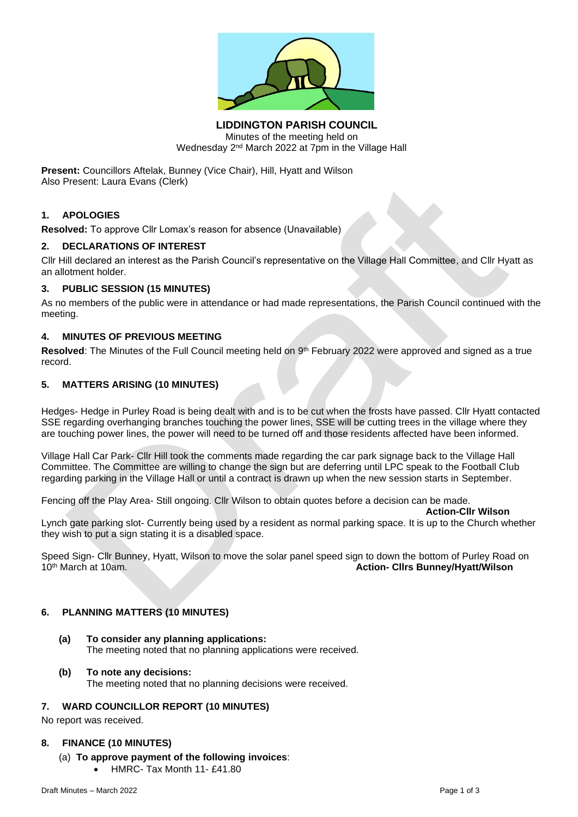

**LIDDINGTON PARISH COUNCIL** Minutes of the meeting held on Wednesday 2nd March 2022 at 7pm in the Village Hall

**Present:** Councillors Aftelak, Bunney (Vice Chair), Hill, Hyatt and Wilson Also Present: Laura Evans (Clerk)

## **1. APOLOGIES**

**Resolved:** To approve Cllr Lomax's reason for absence (Unavailable)

### **2. DECLARATIONS OF INTEREST**

Cllr Hill declared an interest as the Parish Council's representative on the Village Hall Committee, and Cllr Hyatt as an allotment holder.

## **3. PUBLIC SESSION (15 MINUTES)**

As no members of the public were in attendance or had made representations, the Parish Council continued with the meeting.

## **4. MINUTES OF PREVIOUS MEETING**

Resolved: The Minutes of the Full Council meeting held on 9<sup>th</sup> February 2022 were approved and signed as a true record.

### **5. MATTERS ARISING (10 MINUTES)**

Hedges- Hedge in Purley Road is being dealt with and is to be cut when the frosts have passed. Cllr Hyatt contacted SSE regarding overhanging branches touching the power lines, SSE will be cutting trees in the village where they are touching power lines, the power will need to be turned off and those residents affected have been informed.

Village Hall Car Park- Cllr Hill took the comments made regarding the car park signage back to the Village Hall Committee. The Committee are willing to change the sign but are deferring until LPC speak to the Football Club regarding parking in the Village Hall or until a contract is drawn up when the new session starts in September.

Fencing off the Play Area- Still ongoing. Cllr Wilson to obtain quotes before a decision can be made.

**Action-Cllr Wilson**

Lynch gate parking slot- Currently being used by a resident as normal parking space. It is up to the Church whether they wish to put a sign stating it is a disabled space.

Speed Sign- Cllr Bunney, Hyatt, Wilson to move the solar panel speed sign to down the bottom of Purley Road on<br>10<sup>th</sup> March at 10am.<br>**Action- Clirs Bunney/Hyatt/Wilson** 10th March at 10am. **Action- Cllrs Bunney/Hyatt/Wilson**

#### **6. PLANNING MATTERS (10 MINUTES)**

**(a) To consider any planning applications:** The meeting noted that no planning applications were received.

### **(b) To note any decisions:**

The meeting noted that no planning decisions were received.

## **7. WARD COUNCILLOR REPORT (10 MINUTES)**

No report was received.

#### **8. FINANCE (10 MINUTES)**

- (a) **To approve payment of the following invoices**:
	- HMRC- Tax Month 11- £41.80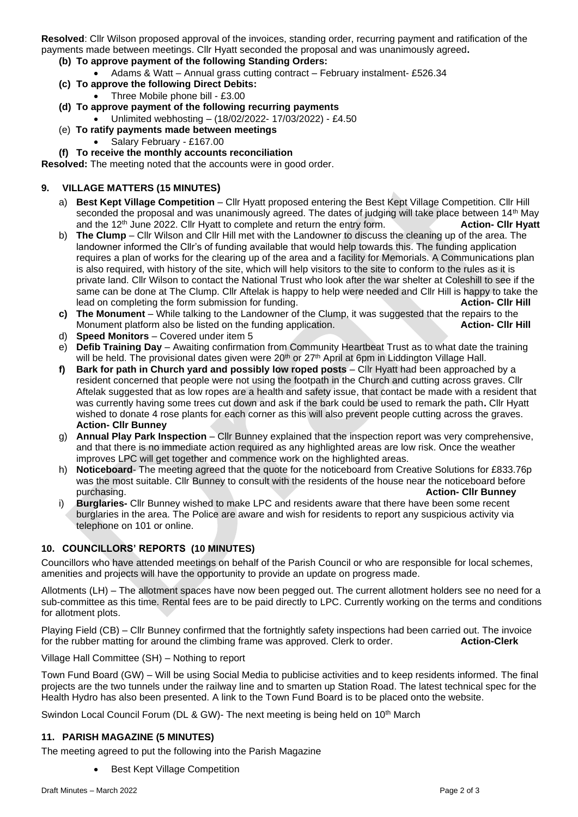**Resolved**: Cllr Wilson proposed approval of the invoices, standing order, recurring payment and ratification of the payments made between meetings. Cllr Hyatt seconded the proposal and was unanimously agreed**.** 

- **(b) To approve payment of the following Standing Orders:**
	- Adams & Watt Annual grass cutting contract February instalment- £526.34
- **(c) To approve the following Direct Debits:**
	- Three Mobile phone bill £3.00
- **(d) To approve payment of the following recurring payments** • Unlimited webhosting – (18/02/2022- 17/03/2022) - £4.50
- (e) **To ratify payments made between meetings**
	- Salary February £167.00
- **(f) To receive the monthly accounts reconciliation**

**Resolved:** The meeting noted that the accounts were in good order.

## **9. VILLAGE MATTERS (15 MINUTES)**

- a) **Best Kept Village Competition** Cllr Hyatt proposed entering the Best Kept Village Competition. Cllr Hill seconded the proposal and was unanimously agreed. The dates of judging will take place between 14<sup>th</sup> May and the 12th June 2022. Cllr Hyatt to complete and return the entry form. **Action- Cllr Hyatt**
- b) **The Clump** Cllr Wilson and Cllr Hill met with the Landowner to discuss the cleaning up of the area. The landowner informed the Cllr's of funding available that would help towards this. The funding application requires a plan of works for the clearing up of the area and a facility for Memorials. A Communications plan is also required, with history of the site, which will help visitors to the site to conform to the rules as it is private land. Cllr Wilson to contact the National Trust who look after the war shelter at Coleshill to see if the same can be done at The Clump. Cllr Aftelak is happy to help were needed and Cllr Hill is happy to take the lead on completing the form submission for funding. **Action- Cllr Hill**
- **c) The Monument** While talking to the Landowner of the Clump, it was suggested that the repairs to the Monument platform also be listed on the funding application. **Action- Cllr Hill**
- d) **Speed Monitors** Covered under item 5
- e) **Defib Training Day** Awaiting confirmation from Community Heartbeat Trust as to what date the training will be held. The provisional dates given were 20<sup>th</sup> or 27<sup>th</sup> April at 6pm in Liddington Village Hall.
- **f) Bark for path in Church yard and possibly low roped posts** Cllr Hyatt had been approached by a resident concerned that people were not using the footpath in the Church and cutting across graves. Cllr Aftelak suggested that as low ropes are a health and safety issue, that contact be made with a resident that was currently having some trees cut down and ask if the bark could be used to remark the path**.** Cllr Hyatt wished to donate 4 rose plants for each corner as this will also prevent people cutting across the graves. **Action- Cllr Bunney**
- g) **Annual Play Park Inspection** Cllr Bunney explained that the inspection report was very comprehensive, and that there is no immediate action required as any highlighted areas are low risk. Once the weather improves LPC will get together and commence work on the highlighted areas.
- h) **Noticeboard** The meeting agreed that the quote for the noticeboard from Creative Solutions for £833.76p was the most suitable. Cllr Bunney to consult with the residents of the house near the noticeboard before purchasing. **Action- Cllr Bunney**
- **Burglaries-** Cllr Bunney wished to make LPC and residents aware that there have been some recent burglaries in the area. The Police are aware and wish for residents to report any suspicious activity via telephone on 101 or online.

## **10. COUNCILLORS' REPORTS (10 MINUTES)**

Councillors who have attended meetings on behalf of the Parish Council or who are responsible for local schemes, amenities and projects will have the opportunity to provide an update on progress made.

Allotments (LH) – The allotment spaces have now been pegged out. The current allotment holders see no need for a sub-committee as this time. Rental fees are to be paid directly to LPC. Currently working on the terms and conditions for allotment plots.

Playing Field (CB) – Cllr Bunney confirmed that the fortnightly safety inspections had been carried out. The invoice for the rubber matting for around the climbing frame was approved. Clerk to order. **Action-Clerk**

Village Hall Committee (SH) – Nothing to report

Town Fund Board (GW) – Will be using Social Media to publicise activities and to keep residents informed. The final projects are the two tunnels under the railway line and to smarten up Station Road. The latest technical spec for the Health Hydro has also been presented. A link to the Town Fund Board is to be placed onto the website.

Swindon Local Council Forum (DL & GW)- The next meeting is being held on 10<sup>th</sup> March

## **11. PARISH MAGAZINE (5 MINUTES)**

The meeting agreed to put the following into the Parish Magazine

**Best Kept Village Competition**